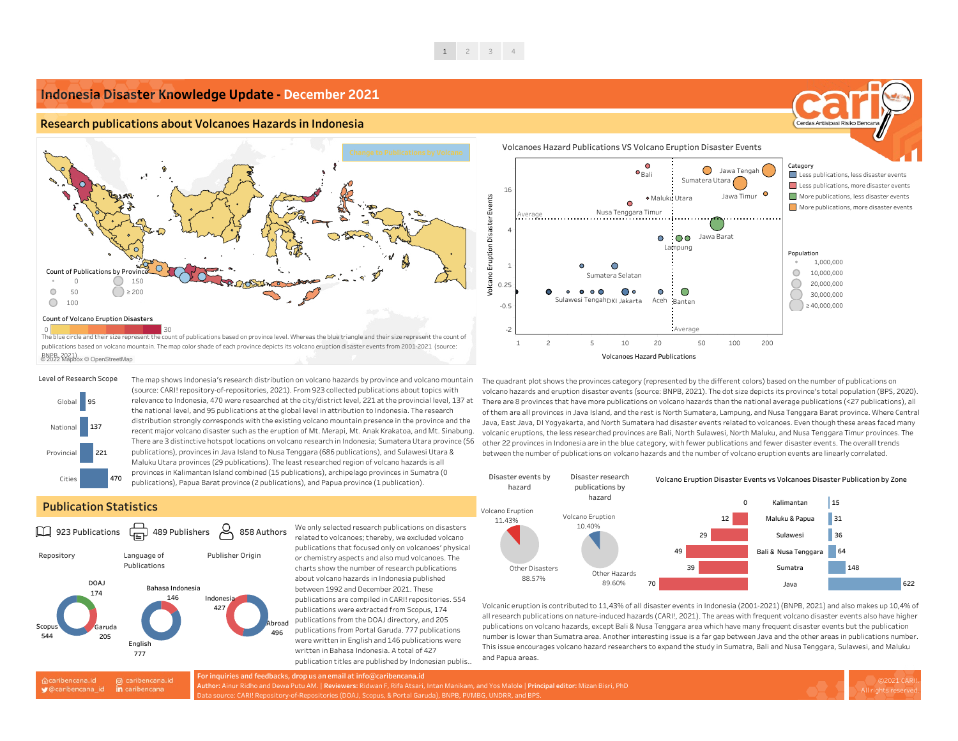

#### **Publication Statistics**

The map shows Indonesia's research distribution on volcano hazards by province and volcano mountain (source: CARI! repository-of-repositories, 2021). From 923 collected publications about topics with relevance to Indonesia, 470 were researched at the city/district level, 221 at the provincial level, 137 at the national level, and 95 publications at the global level in attribution to Indonesia. The research distribution strongly corresponds with the existing volcano mountain presence in the province and the recent major volcano disaster such as the eruption of Mt. Merapi, Mt. Anak Krakatoa, and Mt. Sinabung. There are 3 distinctive hotspot locations on volcano research in Indonesia; Sumatera Utara province (56 publications), provinces in Java Island to Nusa Tenggara (686 publications), and Sulawesi Utara & Maluku Utara provinces (29 publications). The least researched region of volcano hazards is all provinces in Kalimantan Island combined (15 publications), archipelago provinces in Sumatra (0 publications), Papua Barat province (2 publications), and Papua province (1 publication).



related to volcanoes; thereby, we excluded volcano publications that focused only on volcanoes' physical or chemistry aspects and also mud volcanoes. The charts show the number of research publications about volcano hazards in Indonesia published between 1992 and December 2021. These publications are compiled in CARI! repositories. 554 publications were extracted from Scopus, 174 publications from the DOAJ directory, and 205 publications from Portal Garuda. 777 publications were written in English and 146 publications were written in Bahasa Indonesia. A total of 427 publication titles are published by Indonesian publis..



The quadrant plot shows the provinces category (represented by the different colors) based on the number of publications on volcano hazards and eruption disaster events (source: BNPB, 2021). The dot size depicts its province's total population (BPS, 2020). There are 8 provinces that have more publications on volcano hazards than the national average publications (<27 publications), all of them are all provinces in Java Island, and the rest is North Sumatera, Lampung, and Nusa Tenggara Barat province. Where Central Java, East Java, DI Yogyakarta, and North Sumatera had disaster events related to volcanoes. Even though these areas faced many volcanic eruptions, the less researched provinces are Bali, North Sulawesi, North Maluku, and Nusa Tenggara Timur provinces. The other 22 provinces in Indonesia are in the blue category, with fewer publications and fewer disaster events. The overall trends between the number of publications on volcano hazards and the number of volcano eruption events are linearly correlated.

Volcanic eruption is contributed to 11,43% of all disaster events in Indonesia (2001-2021) (BNPB, 2021) and also makes up 10,4% of all research publications on nature-induced hazards (CARI!, 2021). The areas with frequent volcano disaster events also have higher publications on volcano hazards, except Bali & Nusa Tenggara area which have many frequent disaster events but the publication number is lower than Sumatra area. Another interesting issue is a far gap between Java and the other areas in publications number. This issue encourages volcano hazard researchers to expand the study in Sumatra, Bali and Nusa Tenggara, Sulawesi, and Maluku and Papua areas.









© 2022 Mapbox © OpenStreetMap BNPB, 2021).

#### **Indonesia Disaster Knowledge Update - December 2021**

#### **Research publications about Volcanoes Hazards in Indonesia**

**For inquiries and feedbacks, drop us an email at info@caribencana.id Author:** Ainur Ridho and Dewa Putu AM. | **Reviewers:** Ridwan F, Rifa Atsari, Intan Manikam, and Yos Malole | **Principal editor:** Mizan Bisri, PhD Data source: CARI! Repository-of-Repositories (DOAJ, Scopus, & Portal Garuda), BNPB, PVMBG, UNDRR, and BPS.

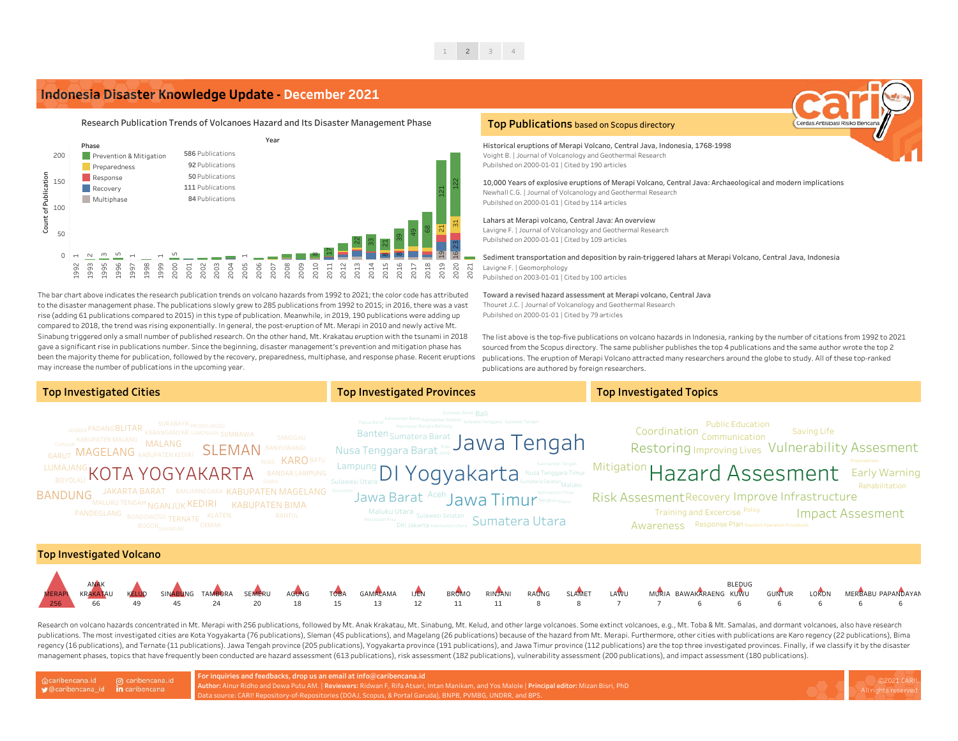The list above is the top-five publications on volcano hazards in Indonesia, ranking by the number of citations from 1992 to 2021 sourced from the Scopus directory. The same publisher publishes the top 4 publications and the same author wrote the top 2 publications. The eruption of Merapi Volcano attracted many researchers around the globe to study. All of these top-ranked publications are authored by foreign researchers.

The bar chart above indicates the research publication trends on volcano hazards from 1992 to 2021; the color code has attributed to the disaster management phase. The publications slowly grew to 285 publications from 1992 to 2015; in 2016, there was a vast rise (adding 61 publications compared to 2015) in this type of publication. Meanwhile, in 2019, 190 publications were adding up compared to 2018, the trend was rising exponentially. In general, the post-eruption of Mt. Merapi in 2010 and newly active Mt. Sinabung triggered only a small number of published research. On the other hand, Mt. Krakatau eruption with the tsunami in 2018 gave a significant rise in publications number. Since the beginning, disaster management's prevention and mitigation phase has been the majority theme for publication, followed by the recovery, preparedness, multiphase, and response phase. Recent eruptions may increase the number of publications in the upcoming year.



Toward a revised hazard assessment at Merapi volcano, Central Java Thouret J.C. | Journal of Volcanology and Geothermal Research Pubilshed on 2000-01-01 | Cited by 79 articles

Sediment transportation and deposition by rain-triggered lahars at Merapi Volcano, Central Java, Indonesia Lavigne F. | Geomorphology Pubilshed on 2003-01-01 | Cited by 100 articles

Lahars at Merapi volcano, Central Java: An overview Lavigne F. | Journal of Volcanology and Geothermal Research Pubilshed on 2000-01-01 | Cited by 109 articles

Historical eruptions of Merapi Volcano, Central Java, Indonesia, 1768-1998 Voight B. | Journal of Volcanology and Geothermal Research Pubilshed on 2000-01-01 | Cited by 190 articles

10,000 Years of explosive eruptions of Merapi Volcano, Central Java: Archaeological and modern implications Newhall C.G. | Journal of Volcanology and Geothermal Research Pubilshed on 2000-01-01 | Cited by 114 articles

#### **Top Publications** based on Scopus directory

### **Indonesia Disaster Knowledge Update - December 2021**

MURIA BAWAKARAENG KUWU 6 7

| of caribencana.id on caribencana.id<br>graduate in caribencana | For inquiries and feedbacks, drop us an email at info@caribencana.id                                                                         |
|----------------------------------------------------------------|----------------------------------------------------------------------------------------------------------------------------------------------|
|                                                                | Author: Ainur Ridho and Dewa Putu AM.   Reviewers: Ridwan F, Rifa Atsari, Intan Manikam, and Yos Malole   Principal editor: Mizan Bisri, PhD |
|                                                                | Data source: CARI! Repository-of-Repositories (DOAJ, Scopus, & Portal Garuda), BNPB, PVMBG, UNDRR, and BPS.                                  |



Rehabilitation

Risk Assesment Recovery Improve Infrastructure

Training and Excercise <sup>Policy</sup> Full **Impact Assesment** Awareness Response Plan Standart Operation Procedures



Research on volcano hazards concentrated in Mt. Merapi with 256 publications, followed by Mt. Anak Krakatau, Mt. Sinabung, Mt. Kelud, and other large volcanoes. Some extinct volcanoes, e.g., Mt. Toba & Mt. Samalas, and dor publications. The most investigated cities are Kota Yogyakarta (76 publications), Sleman (45 publications), and Magelang (26 publications) because of the hazard from Mt. Merapi. Furthermore, other cities with publications regency (16 publications), and Ternate (11 publications). Jawa Tengah province (205 publications), Yogyakarta province (191 publications), and Jawa Timur province (112 publications) are the top three investigated provinces management phases, topics that have frequently been conducted are hazard assessment (613 publications), risk assessment (182 publications), vulnerability assessment (200 publications), and impact assessment (180 publicatio











7

8

8

11

11

12

13

15

18

20

24

45

 $49$ 

66

256



Restoring Improving Lives Vulnerability Assesment Saving Life Public Education Coordination Communication

# Mitigation Hazard Assesment Early Warning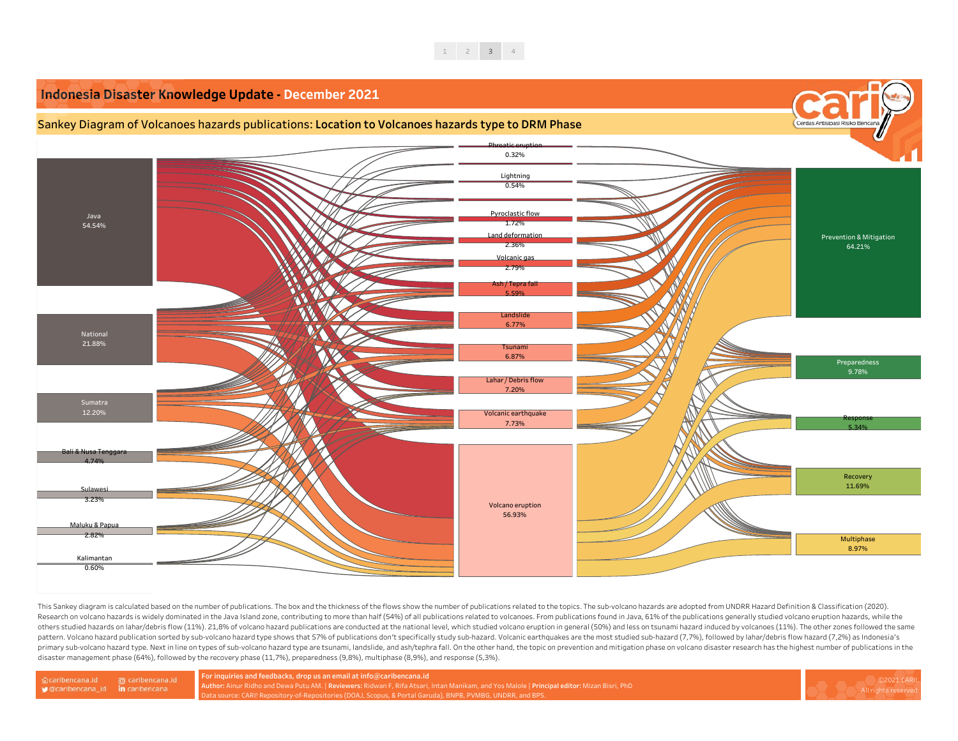

Sankey Diagram of Volcanoes hazards publications: **Location to Volcanoes hazards type to DRM Phase**

This Sankey diagram is calculated based on the number of publications. The box and the thickness of the flows show the number of publications related to the topics. The sub-volcano hazards are adopted from UNDRR Hazard Def Research on volcano hazards is widely dominated in the Java Island zone, contributing to more than half (54%) of all publications related to volcanoes. From publications found in Java, 61% of the publications generally stu others studied hazards on lahar/debris flow (11%). 21,8% of volcano hazard publications are conducted at the national level, which studied volcano eruption in general (50%) and less on tsunami hazard induced by volcanoes ( pattern. Volcano hazard publication sorted by sub-volcano hazard type shows that 57% of publications don't specifically study sub-hazard. Volcanic earthquakes are the most studied sub-hazard (7,7%), followed by lahar/debri primary sub-volcano hazard type. Next in line on types of sub-volcano hazard type are tsunami, landslide, and ash/tephra fall. On the other hand, the topic on prevention and mitigation phase on volcano disaster research ha

## **Indonesia Disaster Knowledge Update - December 2021**

Bali & Nusa Tenggara 4.74%

> **Author:** Ainur Ridho and Dewa Putu AM. | **Reviewers:** Ridwan F, Rifa Atsari, Intan Manikam, and Yos Malole | **Principal editor:** Mizan Bisri, PhD Data source: CARI! Repository-of-Repositories (DOAJ, Scopus, & Portal Garuda), BNPB, PVMBG, UNDRR, and BPS.



12.20%

Sulawesi 3.23%

Maluku & Papua 2.82%

Kalimantan 0.60%

Volcanic earthquake 7.73%

#### Java 54.54% National 21.88% Sumatra Lahar / Debris flow 7.20% Land deformation 2.36% Phreatic eruption 0.32% Pyroclastic flow 1.72% Ash / Tepra fall  $5.59$ Volcanic ga 2.79% **Landslide** 6.77% Lightning 0.54% **Tsunam** 6.87%

Volcano eruption 56.93%



**For inquiries and feedbacks, drop us an email at info@caribencana.id** disaster management phase (64%), followed by the recovery phase (11,7%), preparedness (9,8%), multiphase (8,9%), and response (5,3%).

@ caribencana.id 命caribencana.id ♥ @caribencana\_id in caribencana